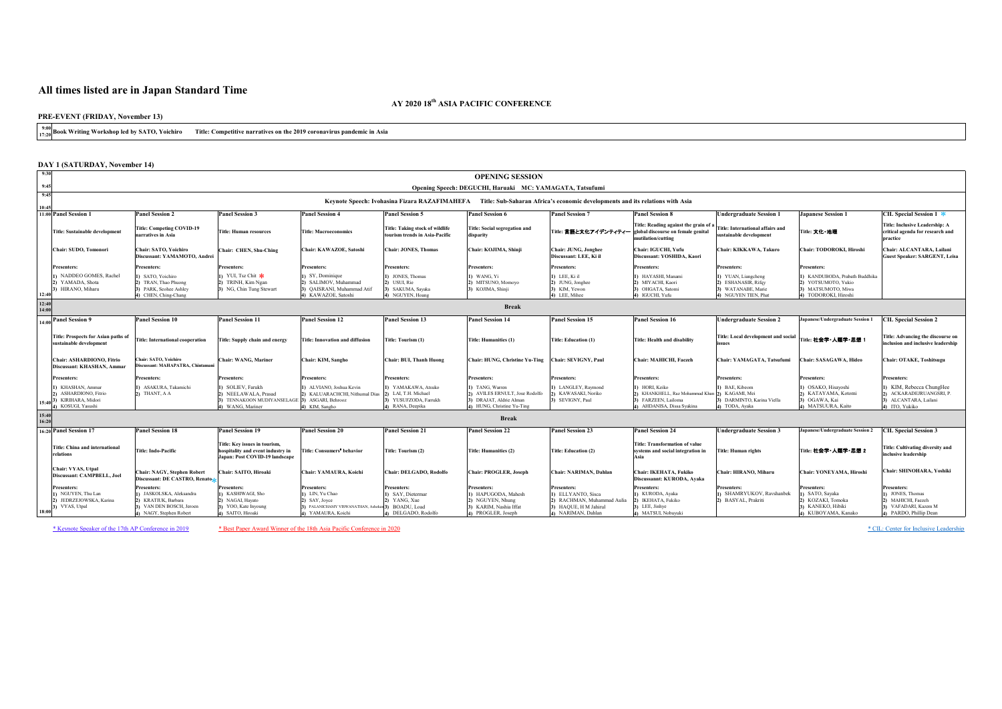# **All times listed are in Japan Standard Time**

**9:00 17:20 Book Writing Workshop led by SATO, Yoichiro Title: Competitive narratives on the 2019 coronavirus pandemic in Asia**

| <b>DAY 1 (SATURDAY, November 14)</b>                                                                            |                                                                                                                              |                                                                                                             |                                                                                                                       |                                                                                                  |                                                                                                                |                                                                                                                       |                                                                                                              |                                                                                          |                                                                                                        |                                                                                                                 |
|-----------------------------------------------------------------------------------------------------------------|------------------------------------------------------------------------------------------------------------------------------|-------------------------------------------------------------------------------------------------------------|-----------------------------------------------------------------------------------------------------------------------|--------------------------------------------------------------------------------------------------|----------------------------------------------------------------------------------------------------------------|-----------------------------------------------------------------------------------------------------------------------|--------------------------------------------------------------------------------------------------------------|------------------------------------------------------------------------------------------|--------------------------------------------------------------------------------------------------------|-----------------------------------------------------------------------------------------------------------------|
| 9:30                                                                                                            |                                                                                                                              |                                                                                                             |                                                                                                                       |                                                                                                  | <b>OPENING SESSION</b>                                                                                         |                                                                                                                       |                                                                                                              |                                                                                          |                                                                                                        |                                                                                                                 |
| 9:45                                                                                                            |                                                                                                                              |                                                                                                             |                                                                                                                       |                                                                                                  | Opening Speech: DEGUCHI, Haruaki MC: YAMAGATA, Tatsufumi                                                       |                                                                                                                       |                                                                                                              |                                                                                          |                                                                                                        |                                                                                                                 |
| 9:45                                                                                                            |                                                                                                                              |                                                                                                             |                                                                                                                       | Keynote Speech: Ivohasina Fizara RAZAFIMAHEFA                                                    |                                                                                                                | Title: Sub-Saharan Africa's economic developments and its relations with Asia                                         |                                                                                                              |                                                                                          |                                                                                                        |                                                                                                                 |
| 10:45                                                                                                           |                                                                                                                              |                                                                                                             |                                                                                                                       |                                                                                                  |                                                                                                                |                                                                                                                       |                                                                                                              |                                                                                          |                                                                                                        |                                                                                                                 |
| 11:00 Panel Session 1                                                                                           | <b>Panel Session 2</b>                                                                                                       | <b>Panel Session 3</b>                                                                                      | <b>Panel Session 4</b>                                                                                                | <b>Panel Session 5</b>                                                                           | <b>Panel Session 6</b>                                                                                         | <b>Panel Session 7</b>                                                                                                | <b>Panel Session 8</b>                                                                                       | <b>Undergraduate Session 1</b>                                                           | <b>Japanese Session 1</b>                                                                              | <b>CIL Special Session 1 <math>*</math></b>                                                                     |
| <b>Title: Sustainable development</b>                                                                           | <b>Title: Competing COVID-19</b><br>narratives in Asia                                                                       | <b>Title: Human resources</b>                                                                               | <b>Title: Macroeconomics</b>                                                                                          | <b>Title: Taking stock of wildlife</b><br>tourism trends in Asia-Pacific                         | <b>Title: Social segregation and</b><br>disparity                                                              | Title: 言語と文化アイデンティティー  global discourse on female genital                                                             | Title: Reading against the grain of a $ $ Title: International affairs and<br>mutilation/cutting             | sustainable development                                                                  | Title: 文化·地理                                                                                           | <b>Title: Inclusive Leadership: A</b><br>critical agenda for research and<br><i><u>ractice</u></i>              |
| Chair: SUDO, Tomonori                                                                                           | <b>Chair: SATO, Yoichiro</b><br>Discussant: YAMAMOTO, Andrei                                                                 | Chair: CHEN, Shu-Ching                                                                                      | Chair: KAWAZOE, Satoshi                                                                                               | <b>Chair: JONES, Thomas</b>                                                                      | Chair: KOJIMA, Shinji                                                                                          | Chair: JUNG, Jonghee<br>Discussant: LEE, Ki il                                                                        | Chair: IGUCHI, Yufu<br>Discussant: YOSHIDA, Kaori                                                            | Chair: KIKKAWA, Takuro                                                                   | <b>Chair: TODOROKI, Hiroshi</b>                                                                        | Chair: ALCANTARA, Lailani<br><b>Guest Speaker: SARGENT, Leisa</b>                                               |
| <b>Presenters:</b>                                                                                              | <b>Presenters:</b>                                                                                                           | <b>Presenters:</b>                                                                                          | <b>Presenters:</b>                                                                                                    | <b>Presenters:</b>                                                                               | <b>Presenters:</b>                                                                                             | <b>Presenters:</b>                                                                                                    | <b>Presenters:</b>                                                                                           | <b>Presenters:</b>                                                                       | <b>Presenters:</b>                                                                                     |                                                                                                                 |
| 1) NADDEO GOMES, Rachel<br>2) YAMADA, Shota<br>3) HIRANO, Miharu<br>12:40                                       | 1) SATO, Yoichiro<br>2) TRAN, Thao Phuong<br>3) PARK, Seohee Ashley<br>4) CHEN, Ching-Chang                                  | 1) YUI, Tsz Chit $\ast$<br>TRINH, Kim Ngan<br>3) NG, Chin Tung Stewart                                      | 1) SY, Dominique<br>2) SALIMOV, Muhammad<br>3) QAISRANI, Muhammad Atif<br>4) KAWAZOE, Satoshi                         | 1) JONES, Thomas<br>2) USUI, Rie<br>3) SAKUMA, Sayaka<br>4) NGUYEN, Hoang                        | $(1)$ WANG, Yi<br>2) MITSUNO, Momoyo<br>3) KOJIMA, Shinji                                                      | $\vert 1\rangle$ LEE, Ki il<br>2) JUNG, Jonghee<br>$ 3)$ KIM, Yewon<br>$\vert 4$ ) LEE, Mihee                         | 1) HAYASHI, Manami<br>MIYACHI, Kaori<br>3) OHGATA, Satomi<br>4) IGUCHI, Yufu                                 | 1) YUAN, Liangcheng<br>2) ESHANASIR, Rifqy<br>3) WATANABE, Marie<br>4) NGUYEN TIEN, Phat | 1) KANDUBODA, Prabath Buddhika<br>2) YOTSUMOTO, Yukio<br>3) MATSUMOTO, Miwa<br>4) TODOROKI, Hiroshi    |                                                                                                                 |
| 12:40<br>14:00                                                                                                  |                                                                                                                              |                                                                                                             |                                                                                                                       |                                                                                                  | <b>Break</b>                                                                                                   |                                                                                                                       |                                                                                                              |                                                                                          |                                                                                                        |                                                                                                                 |
| $\frac{1}{14:00}$ Panel Session 9                                                                               | <b>Panel Session 10</b>                                                                                                      | <b>Panel Session 11</b>                                                                                     | <b>Panel Session 12</b>                                                                                               | <b>Panel Session 13</b>                                                                          | <b>Panel Session 14</b>                                                                                        | <b>Panel Session 15</b>                                                                                               | <b>Panel Session 16</b>                                                                                      | <b>Undergraduate Session 2</b>                                                           | <b>Japanese/Undergraduate Session 1</b>                                                                | <b>CIL Special Session 2</b>                                                                                    |
| <b>Title: Prospects for Asian paths of</b><br>sustainable development                                           | <b>Title: International cooperation</b>                                                                                      | <b>Title: Supply chain and energy</b>                                                                       | <b>Title: Innovation and diffusion</b>                                                                                | Title: Tourism (1)                                                                               | <b>Title: Humanities (1)</b>                                                                                   | <b>Title: Education (1)</b>                                                                                           | <b>Title: Health and disability</b>                                                                          | Title: Local development and social<br><i>lissues</i>                                    | Title: 社会学·人類学·思想 1                                                                                    | Title: Advancing the discourse on<br>inclusion and inclusive leadership                                         |
| Chair: ASHARDIONO, Fitrio<br>Discussant: KHASHAN, Ammar                                                         | <b>Chair: SATO, Yoichiro</b><br>Discussant: MAHAPATRA, Chintamani                                                            | <b>Chair: WANG, Mariner</b>                                                                                 | <b>Chair: KIM, Sangho</b>                                                                                             | <b>Chair: BUI, Thanh Huong</b>                                                                   | <b>Chair: HUNG, Christine Yu-Ting</b>                                                                          | <b>Chair: SEVIGNY, Paul</b>                                                                                           | <b>Chair: MAHICHI, Faezeh</b>                                                                                | Chair: YAMAGATA, Tatsufumi                                                               | <b>Chair: SASAGAWA, Hideo</b>                                                                          | <b>Chair: OTAKE, Toshitsugu</b>                                                                                 |
| <b>Presenters:</b>                                                                                              | <b>Presenters:</b>                                                                                                           | <b>Presenters:</b>                                                                                          | <b>Presenters:</b>                                                                                                    | <b>Presenters:</b>                                                                               | <b>Presenters:</b>                                                                                             | <b>Presenters:</b>                                                                                                    | <b>Presenters:</b>                                                                                           | <b>Presenters:</b>                                                                       | <b>Presenters:</b>                                                                                     | <b>Presenters:</b>                                                                                              |
| 1) KHASHAN, Ammar<br>2) ASHARDIONO, Fitrio<br>$15:40$ <sup>3</sup> ) KIRIHARA, Midori<br>4) KOSUGI, Yasushi     | 1) ASAKURA, Takamichi<br>$2)$ THANT, A A                                                                                     | 1) SOLIEV, Farukh<br>NEELAWALA, Prasad<br>TENNAKOON MUDIYANSELAGE<br>WANG, Mariner                          | () ALVIANO, Joshua Kevin<br>2) KALUARACHCHI, Nithumal Dias<br>3) ASGARI, Behrooz<br>4) KIM, Sangho                    | 1) YAMAKAWA, Atsuko<br>LAI, T.H. Michael<br>3) YUSUFZODA, Farrukh<br>4) RANA, Deepika            | 1) TANG, Warren<br>2) AVILES ERNULT, Jose Rodolfo<br>3) DRAJAT, Aldrie Alman<br>4) HUNG, Christine Yu-Ting     | 1) LANGLEY, Raymond<br>2) KAWASAKI, Noriko<br>3) SEVIGNY, Paul                                                        | HORI, Keiko<br>KHANKHELL, Raz Mohammad Khan 2) KAGAMI, Mei<br>FARZEEN, Lailoma<br>4) AHDANISA, Dissa Syakina | 1) BAE, Kibeom<br>3) DARMINTO, Karina Viella<br>4) TODA, Ayaka                           | 1) OSAKO, Hisayoshi<br>2) KATAYAMA, Kotomi<br>3) OGAWA, Kai<br>4) MATSUURA, Kaito                      | $\vert$ 1) KIM, Rebecca ChungHee<br>2) ACKARADEJRUANGSRI, P.<br>3) ALCANTARA, Lailani<br>$\vert 4)$ ITO, Yukiko |
| 15:40 <br>16:20                                                                                                 |                                                                                                                              |                                                                                                             |                                                                                                                       |                                                                                                  | <b>Break</b>                                                                                                   |                                                                                                                       |                                                                                                              |                                                                                          |                                                                                                        |                                                                                                                 |
| 16:20 Panel Session 17                                                                                          | <b>Panel Session 18</b>                                                                                                      | <b>Panel Session 19</b>                                                                                     | <b>Panel Session 20</b>                                                                                               | <b>Panel Session 21</b>                                                                          | <b>Panel Session 22</b>                                                                                        | <b>Panel Session 23</b>                                                                                               | <b>Panel Session 24</b>                                                                                      | <b>Undergraduate Session 3</b>                                                           | <b>Japanese/Undergraduate Session 2</b>                                                                | <b>CIL Special Session 3</b>                                                                                    |
| Title: China and international<br><b>relations</b>                                                              | <b>Title: Indo-Pacific</b>                                                                                                   | Title: Key issues in tourism,<br>hospitality and event industry in<br><b>Japan: Post COVID-19 landscape</b> | <b>Title: Consumers' behavior</b>                                                                                     | <b>Title: Tourism (2)</b>                                                                        | <b>Title: Humanities (2)</b>                                                                                   | <b>Title: Education (2)</b>                                                                                           | <b>Title: Transformation of value</b><br>systems and social integration in<br><b>Asia</b>                    | Title: Human rights                                                                      | Title: 社会学·人類学·思想 2                                                                                    | <b>Title: Cultivating diversity and</b><br>inclusive leadership                                                 |
| Chair: VYAS, Utpal<br>Discussant: CAMPBELL, Joel                                                                | <b>Chair: NAGY, Stephen Robert</b><br>Discussant: DE CASTRO, Renatos                                                         | <b>Chair: SAITO, Hiroaki</b>                                                                                | Chair: YAMAURA, Koichi                                                                                                | <b>Chair: DELGADO, Rodolfo</b>                                                                   | <b>Chair: PROGLER, Joseph</b>                                                                                  | <b>Chair: NARIMAN, Dahlan</b>                                                                                         | Chair: IKEHATA, Fukiko<br>Discussannt: KURODA, Ayaka                                                         | Chair: HIRANO, Miharu                                                                    | Chair: YONEYAMA, Hiroshi                                                                               | Chair: SHINOHARA, Yoshiki                                                                                       |
| <b>Presenters:</b><br>1) NGUYEN, Thu Lan<br>2) JEDRZEJOWSKA, Karina<br>$\langle 3 \rangle$ VYAS, Utpal<br>18:00 | <b>Presenters:</b><br>1) JASKOLSKA, Aleksandra<br>2) KRATIUK, Barbara<br>3) VAN DEN BOSCH, Jeroen<br>4) NAGY, Stephen Robert | <b>Presenters:</b><br>KASHIWAGI, Sho<br>NAGAI, Hayato<br>YOO, Kate Inyoung<br>) SAITO, Hiroaki              | <b>Presenters:</b><br>) LIN, Yu Chao<br>2) SAY, Joyce<br>3) PALANICHAMY VISWANATHAN, Ashokan 3)<br>4) YAMAURA, Koichi | <b>Presenters:</b><br>1) SAY, Dietermar<br>$(2)$ YANG, Xue<br>BOADU, Load<br>4) DELGADO, Rodolfo | <b>Presenters:</b><br>1) HAPUGODA, Mahesh<br>2) NGUYEN, Nhung<br>3) KARIM, Nashia Iffat<br>(4) PROGLER, Joseph | <b>Presenters:</b><br>1) ELLYANTO, Sisca<br>2) RACHMAN, Muhammad Aulia<br>3) HAQUE, H M Jahirul<br>4) NARIMAN, Dahlan | <b>Presenters:</b><br>KURODA, Ayaka<br>IKEHATA, Fukiko<br>LEE, Jinhye<br>MATSUI, Nobuyuki                    | <b>Presenters:</b><br>1) SHAMRYUKOV, Ravshanbek<br>2) BASYAL, Prakriti                   | <b>Presenters:</b><br>1) SATO, Sayaka<br>2) KOZAKI, Tomoka<br>3) KANEKO, Hibiki<br>4) KUBOYAMA, Kanako | <b>Presenters:</b><br>1) JONES, Thomas<br>2) MAHICHI, Faezeh<br>3) VAFADARI, Kazem M<br>4) PARDO, Phillip Dean  |

[\\* Keynote Speaker of the 17th AP Conference in 2019](https://www.jstage.jst.go.jp/article/rjaps/38/1/38_1/_article/-char/en) [\\* B](http://www.apu.ac.jp/apconf/program/session/2020fa/PANEL_SESSIONS_Part3.pdf)est [Paper Award Winner of the 18th Asia Pacific Conference in 2020](http://www.apu.ac.jp/apconf/program/session/2020fa/PANEL_SESSIONS_Part3.pdf) [\\* CIL](http://www.apu.ac.jp/cil/): [Center for Inclusive Leadership](http://www.apu.ac.jp/cil/)

## **AY 2020 18 th ASIA PACIFIC CONFERENCE**

## **PRE-EVENT (FRIDAY, November 13)**